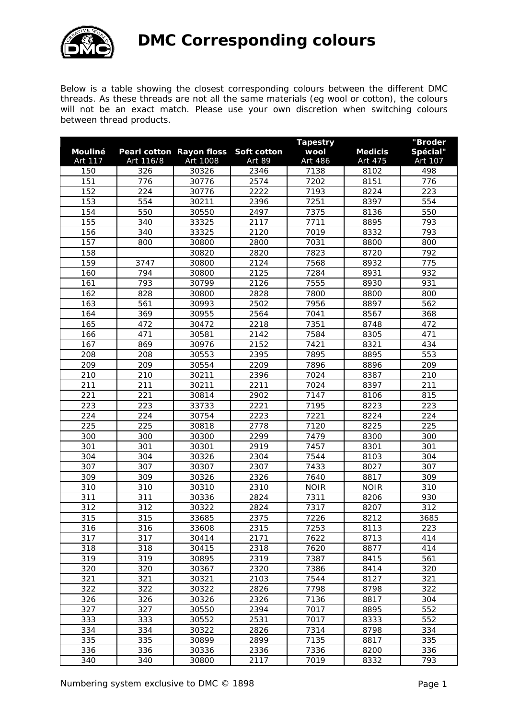

Below is a table showing the closest corresponding colours between the different DMC threads. As these threads are not all the same materials (eg wool or cotton), the colours will not be an exact match. Please use your own discretion when switching colours between thread products.

| Mouliné |           | Pearl cotton Rayon floss | Soft cotton | <b>Tapestry</b><br>wool | <b>Medicis</b> | "Broder<br>Spécial" |
|---------|-----------|--------------------------|-------------|-------------------------|----------------|---------------------|
| Art 117 | Art 116/8 | Art 1008                 | Art 89      | Art 486                 | Art 475        | Art 107             |
| 150     | 326       | 30326                    | 2346        | 7138                    | 8102           | 498                 |
| 151     | 776       | 30776                    | 2574        | 7202                    | 8151           | 776                 |
| 152     | 224       | 30776                    | 2222        | 7193                    | 8224           | 223                 |
| 153     | 554       | 30211                    | 2396        | 7251                    | 8397           | 554                 |
| 154     | 550       | 30550                    | 2497        | 7375                    | 8136           | 550                 |
| 155     | 340       | 33325                    | 2117        | 7711                    | 8895           | 793                 |
| 156     | 340       | 33325                    | 2120        | 7019                    | 8332           | 793                 |
| 157     | 800       | 30800                    | 2800        | 7031                    | 8800           | 800                 |
| 158     |           | 30820                    | 2820        | 7823                    | 8720           | 792                 |
| 159     | 3747      | 30800                    | 2124        | 7568                    | 8932           | 775                 |
| 160     | 794       | 30800                    | 2125        | 7284                    | 8931           | 932                 |
| 161     | 793       | 30799                    | 2126        | 7555                    | 8930           | 931                 |
| 162     | 828       | 30800                    | 2828        | 7800                    | 8800           | 800                 |
| 163     | 561       | 30993                    | 2502        | 7956                    | 8897           | 562                 |
| 164     | 369       | 30955                    | 2564        | 7041                    | 8567           | 368                 |
| 165     | 472       | 30472                    | 2218        | 7351                    | 8748           | 472                 |
| 166     | 471       | 30581                    | 2142        | 7584                    | 8305           | 471                 |
| 167     | 869       | 30976                    | 2152        | 7421                    | 8321           | 434                 |
| 208     | 208       | 30553                    | 2395        | 7895                    | 8895           | 553                 |
| 209     | 209       | 30554                    | 2209        | 7896                    | 8896           | 209                 |
| 210     | 210       | 30211                    | 2396        | 7024                    | 8387           | 210                 |
| 211     | 211       | 30211                    | 2211        | 7024                    | 8397           | 211                 |
| 221     | 221       | 30814                    | 2902        | 7147                    | 8106           | 815                 |
| 223     | 223       | 33733                    | 2221        | 7195                    | 8223           | 223                 |
| 224     | 224       | 30754                    | 2223        | 7221                    | 8224           | 224                 |
| 225     | 225       | 30818                    | 2778        | 7120                    | 8225           | 225                 |
| 300     | 300       | 30300                    | 2299        | 7479                    | 8300           | 300                 |
| 301     | 301       | 30301                    | 2919        | 7457                    | 8301           | 301                 |
| 304     | 304       | 30326                    | 2304        | 7544                    | 8103           | 304                 |
| 307     | 307       | 30307                    | 2307        | 7433                    | 8027           | 307                 |
| 309     | 309       | 30326                    | 2326        | 7640                    | 8817           | 309                 |
| 310     | 310       | 30310                    | 2310        | <b>NOIR</b>             | <b>NOIR</b>    | 310                 |
| 311     | 311       | 30336                    | 2824        | 7311                    | 8206           | 930                 |
| 312     | 312       | 30322                    | 2824        | 7317                    | 8207           | 312                 |
| 315     | 315       | 33685                    | 2375        | 7226                    | 8212           | 3685                |
| 316     | 316       | 33608                    | 2315        | 7253                    | 8113           | 223                 |
| 317     | 317       | 30414                    | 2171        | 7622                    | 8713           | 414                 |
| 318     | 318       | 30415                    | 2318        | 7620                    | 8877           | 414                 |
| 319     | 319       | 30895                    | 2319        | 7387                    | 8415           | 561                 |
| 320     | 320       | 30367                    | 2320        | 7386                    | 8414           | 320                 |
| 321     | 321       | 30321                    | 2103        | 7544                    | 8127           | 321                 |
| 322     | 322       | 30322                    | 2826        | 7798                    | 8798           | 322                 |
| 326     | 326       | 30326                    | 2326        | 7136                    | 8817           | 304                 |
| 327     | 327       | 30550                    | 2394        | 7017                    | 8895           | 552                 |
| 333     | 333       | 30552                    | 2531        | 7017                    | 8333           | 552                 |
| 334     | 334       | 30322                    | 2826        | 7314                    | 8798           | 334                 |
| 335     | 335       | 30899                    | 2899        | 7135                    | 8817           | 335                 |
| 336     | 336       | 30336                    | 2336        | 7336                    | 8200           | 336                 |
| 340     | 340       | 30800                    | 2117        | 7019                    | 8332           | 793                 |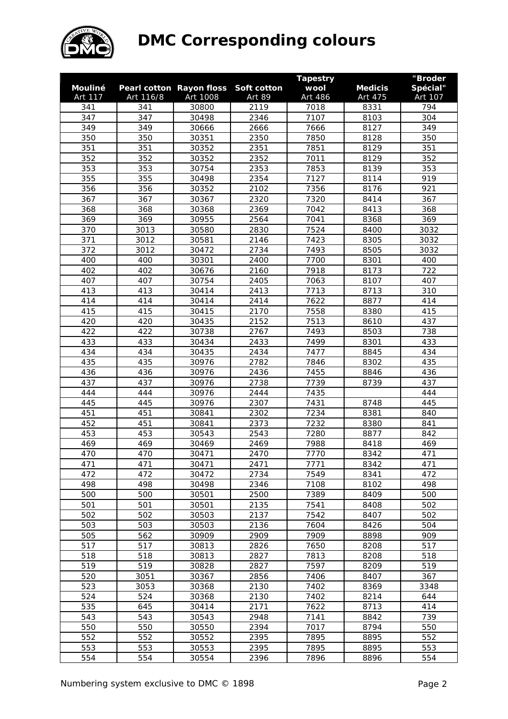

|            |            |                                 |              | <b>Tapestry</b> |                | "Broder    |
|------------|------------|---------------------------------|--------------|-----------------|----------------|------------|
| Mouliné    |            | <b>Pearl cotton Rayon floss</b> | Soft cotton  | wool            | <b>Medicis</b> | Spécial"   |
| Art 117    | Art 116/8  | Art 1008                        | Art 89       | Art 486         | Art 475        | Art 107    |
| 341        | 341        | 30800                           | 2119         | 7018            | 8331           | 794        |
| 347        | 347        | 30498                           | 2346         | 7107            | 8103           | 304        |
| 349        | 349        | 30666                           | 2666         | 7666            | 8127           | 349        |
| 350        | 350        | 30351                           | 2350         | 7850            | 8128           | 350        |
| 351        | 351        | 30352                           | 2351         | 7851            | 8129           | 351        |
| 352        | 352        | 30352                           | 2352         | 7011            | 8129           | 352        |
| 353        | 353        | 30754                           | 2353         | 7853            | 8139           | 353        |
| 355        | 355        | 30498                           | 2354         | 7127            | 8114           | 919        |
| 356        | 356        | 30352                           | 2102         | 7356            | 8176           | 921        |
| 367        | 367        | 30367                           | 2320         | 7320            | 8414           | 367        |
| 368        | 368        | 30368                           | 2369         | 7042            | 8413           | 368        |
| 369        | 369        | 30955                           | 2564         | 7041            | 8368           | 369        |
| 370        | 3013       | 30580                           | 2830         | 7524            | 8400           | 3032       |
| 371        | 3012       | 30581                           | 2146         | 7423            | 8305           | 3032       |
| 372        | 3012       | 30472                           | 2734         | 7493            | 8505           | 3032       |
| 400        | 400        | 30301                           | 2400         | 7700            | 8301           | 400        |
| 402        | 402        | 30676                           | 2160         | 7918            | 8173           | 722        |
| 407        | 407        | 30754                           | 2405         | 7063            | 8107           | 407        |
| 413        | 413        | 30414                           | 2413         | 7713            | 8713           | 310        |
| 414        | 414        | 30414                           | 2414         | 7622            | 8877           | 414        |
| 415        | 415        | 30415                           | 2170         | 7558            | 8380           | 415        |
| 420        | 420        | 30435                           | 2152         | 7513            | 8610           | 437        |
| 422        | 422        | 30738                           | 2767         | 7493            | 8503           | 738        |
| 433        | 433        | 30434                           | 2433         | 7499            | 8301           | 433        |
| 434        | 434        | 30435                           | 2434         | 7477            | 8845           | 434        |
| 435        | 435        | 30976                           | 2782         | 7846            | 8302           | 435        |
| 436        | 436        | 30976                           | 2436         | 7455            | 8846           | 436        |
| 437        | 437        | 30976                           | 2738         | 7739            | 8739           | 437        |
| 444        | 444        | 30976                           | 2444         | 7435            |                | 444        |
| 445<br>451 | 445<br>451 | 30976<br>30841                  | 2307         | 7431<br>7234    | 8748           | 445        |
| 452        | 451        | 30841                           | 2302<br>2373 | 7232            | 8381           | 840        |
| 453        | 453        | 30543                           | 2543         | 7280            | 8380<br>8877   | 841        |
| 469        | 469        | 30469                           | 2469         | 7988            | 8418           | 842<br>469 |
| 470        | 470        | 30471                           | 2470         | 7770            | 8342           | 471        |
| 471        | 471        | 30471                           | 2471         | 7771            | 8342           | 471        |
| 472        | 472        | 30472                           | 2734         | 7549            | 8341           | 472        |
| 498        | 498        | 30498                           | 2346         | 7108            | 8102           | 498        |
| 500        | 500        | 30501                           | 2500         | 7389            | 8409           | 500        |
| 501        | 501        | 30501                           | 2135         | 7541            | 8408           | 502        |
| 502        | 502        | 30503                           | 2137         | 7542            | 8407           | 502        |
| 503        | 503        | 30503                           | 2136         | 7604            | 8426           | 504        |
| 505        | 562        | 30909                           | 2909         | 7909            | 8898           | 909        |
| 517        | 517        | 30813                           | 2826         | 7650            | 8208           | 517        |
| 518        | 518        | 30813                           | 2827         | 7813            | 8208           | 518        |
| 519        | 519        | 30828                           | 2827         | 7597            | 8209           | 519        |
| 520        | 3051       | 30367                           | 2856         | 7406            | 8407           | 367        |
| 523        | 3053       | 30368                           | 2130         | 7402            | 8369           | 3348       |
| 524        | 524        | 30368                           | 2130         | 7402            | 8214           | 644        |
| 535        | 645        | 30414                           | 2171         | 7622            | 8713           | 414        |
| 543        | 543        | 30543                           | 2948         | 7141            | 8842           | 739        |
| 550        | 550        | 30550                           | 2394         | 7017            | 8794           | 550        |
| 552        | 552        | 30552                           | 2395         | 7895            | 8895           | 552        |
| 553        | 553        | 30553                           | 2395         | 7895            | 8895           | 553        |
| 554        | 554        | 30554                           | 2396         | 7896            | 8896           | 554        |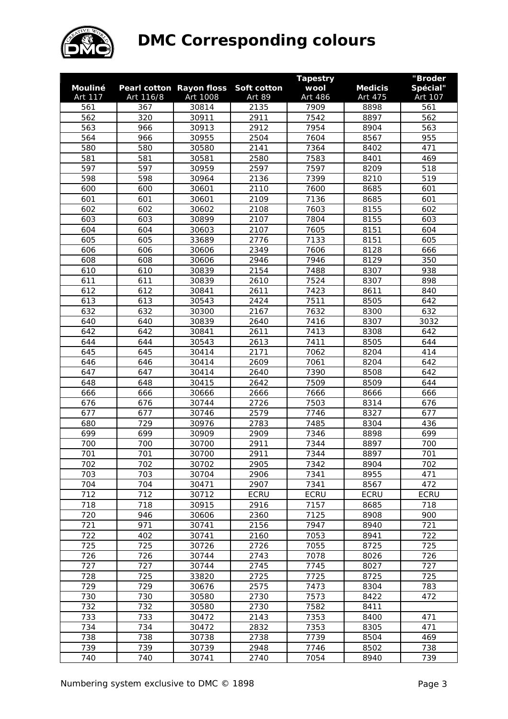

|         |           |                          |             | <b>Tapestry</b> |                | "Broder     |
|---------|-----------|--------------------------|-------------|-----------------|----------------|-------------|
| Mouliné |           | Pearl cotton Rayon floss | Soft cotton | wool            | <b>Medicis</b> | Spécial"    |
| Art 117 | Art 116/8 | Art 1008                 | Art 89      | Art 486         | Art 475        | Art 107     |
| 561     | 367       | 30814                    | 2135        | 7909            | 8898           | 561         |
| 562     | 320       | 30911                    | 2911        | 7542            | 8897           | 562         |
| 563     | 966       | 30913                    | 2912        | 7954            | 8904           | 563         |
| 564     | 966       | 30955                    | 2504        | 7604            | 8567           | 955         |
| 580     | 580       | 30580                    | 2141        | 7364            | 8402           | 471         |
| 581     | 581       | 30581                    | 2580        | 7583            | 8401           | 469         |
| 597     | 597       | 30959                    | 2597        | 7597            | 8209           | 518         |
| 598     | 598       | 30964                    | 2136        | 7399            | 8210           | 519         |
| 600     | 600       | 30601                    | 2110        | 7600            | 8685           | 601         |
| 601     | 601       | 30601                    | 2109        | 7136            | 8685           | 601         |
| 602     | 602       | 30602                    | 2108        | 7603            | 8155           | 602         |
| 603     | 603       | 30899                    | 2107        | 7804            | 8155           | 603         |
| 604     | 604       | 30603                    | 2107        | 7605            | 8151           | 604         |
| 605     | 605       | 33689                    | 2776        | 7133            | 8151           | 605         |
| 606     | 606       | 30606                    | 2349        | 7606            | 8128           | 666         |
| 608     | 608       | 30606                    | 2946        | 7946            | 8129           | 350         |
| 610     | 610       | 30839                    | 2154        | 7488            | 8307           | 938         |
| 611     | 611       | 30839                    | 2610        | 7524            | 8307           | 898         |
| 612     | 612       | 30841                    | 2611        | 7423            | 8611           | 840         |
| 613     | 613       | 30543                    | 2424        | 7511            | 8505           | 642         |
| 632     | 632       | 30300                    | 2167        | 7632            | 8300           | 632         |
| 640     | 640       | 30839                    | 2640        | 7416            | 8307           | 3032        |
| 642     | 642       | 30841                    | 2611        | 7413            | 8308           | 642         |
| 644     | 644       | 30543                    | 2613        | 7411            | 8505           | 644         |
| 645     | 645       | 30414                    | 2171        | 7062            | 8204           | 414         |
| 646     | 646       | 30414                    | 2609        | 7061            | 8204           | 642         |
| 647     | 647       | 30414                    | 2640        | 7390            | 8508           | 642         |
| 648     | 648       | 30415                    | 2642        | 7509            | 8509           | 644         |
| 666     | 666       | 30666                    | 2666        | 7666            | 8666           | 666         |
| 676     | 676       | 30744                    | 2726        | 7503            | 8314           | 676         |
| 677     | 677       | 30746                    | 2579        | 7746            | 8327           | 677         |
| 680     | 729       | 30976                    | 2783        | 7485            | 8304           | 436         |
| 699     | 699       | 30909                    | 2909        | 7346            | 8898           | 699         |
| 700     | 700       | 30700                    | 2911        | 7344            | 8897           | 700         |
| 701     | 701       | 30700                    | 2911        | 7344            | 8897           | 701         |
| 702     | 702       | 30702                    | 2905        | 7342            | 8904           | 702         |
| 703     | 703       | 30704                    | 2906        | 7341            | 8955           | 471         |
| 704     | 704       | 30471                    | 2907        | 7341            | 8567           | 472         |
| 712     | 712       | 30712                    | <b>ECRU</b> | <b>ECRU</b>     | <b>ECRU</b>    | <b>ECRU</b> |
| 718     | 718       | 30915                    | 2916        | 7157            | 8685           | 718         |
| 720     | 946       | 30606                    | 2360        | 7125            | 8908           | 900         |
| 721     | 971       | 30741                    | 2156        | 7947            | 8940           | 721         |
| 722     | 402       | 30741                    | 2160        | 7053            | 8941           | 722         |
| 725     | 725       | 30726                    | 2726        | 7055            | 8725           | 725         |
| 726     | 726       | 30744                    | 2743        | 7078            | 8026           | 726         |
| 727     | 727       | 30744                    | 2745        | 7745            | 8027           | 727         |
| 728     | 725       | 33820                    | 2725        | 7725            | 8725           | 725         |
| 729     | 729       | 30676                    | 2575        | 7473            | 8304           | 783         |
| 730     | 730       | 30580                    | 2730        | 7573            | 8422           | 472         |
| 732     | 732       | 30580                    | 2730        | 7582            | 8411           |             |
| 733     | 733       | 30472                    | 2143        | 7353            | 8400           | 471         |
| 734     | 734       | 30472                    | 2832        | 7353            | 8305           | 471         |
| 738     | 738       | 30738                    | 2738        | 7739            | 8504           | 469         |
| 739     | 739       | 30739                    | 2948        | 7746            | 8502           | 738         |
| 740     | 740       | 30741                    | 2740        | 7054            | 8940           | 739         |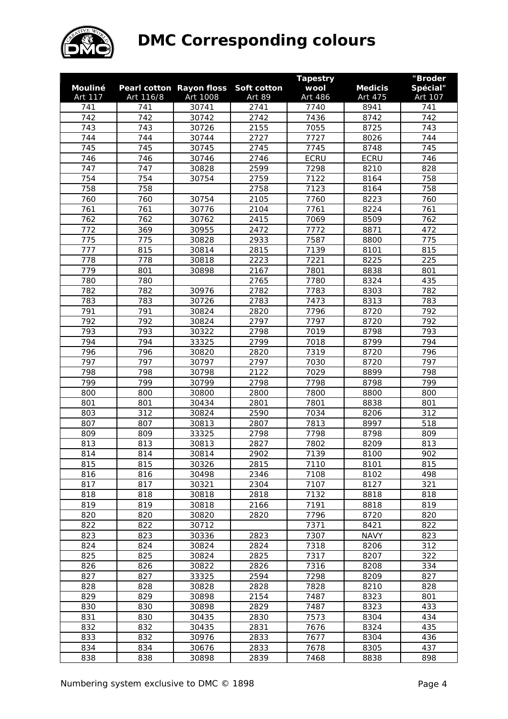

|                |            |                                 |              | <b>Tapestry</b> |                | "Broder    |
|----------------|------------|---------------------------------|--------------|-----------------|----------------|------------|
| <b>Mouliné</b> |            | <b>Pearl cotton Rayon floss</b> | Soft cotton  | wool            | <b>Medicis</b> | Spécial"   |
| Art 117        | Art 116/8  | Art 1008                        | Art 89       | Art 486         | Art 475        | Art 107    |
| 741            | 741        | 30741                           | 2741         | 7740            | 8941           | 741        |
| 742            | 742        | 30742                           | 2742         | 7436            | 8742           | 742        |
| 743            | 743        | 30726                           | 2155         | 7055            | 8725           | 743        |
| 744            | 744        | 30744                           | 2727         | 7727            | 8026           | 744        |
| 745            | 745        | 30745                           | 2745         | 7745            | 8748           | 745        |
| 746            | 746        | 30746                           | 2746         | <b>ECRU</b>     | <b>ECRU</b>    | 746        |
| 747            | 747        | 30828                           | 2599         | 7298            | 8210           | 828        |
| 754            | 754        | 30754                           | 2759         | 7122            | 8164           | 758        |
| 758            | 758        |                                 | 2758         | 7123            | 8164           | 758        |
| 760            | 760        | 30754                           | 2105         | 7760            | 8223           | 760        |
| 761            | 761        | 30776                           | 2104         | 7761            | 8224           | 761        |
| 762            | 762        | 30762                           | 2415         | 7069            | 8509           | 762        |
| 772            | 369        | 30955                           | 2472         | 7772            | 8871           | 472        |
| 775            | 775        | 30828                           | 2933         | 7587            | 8800           | 775        |
| 777            | 815        | 30814                           | 2815         | 7139            | 8101           | 815        |
| 778            | 778        | 30818                           | 2223         | 7221            | 8225           | 225        |
| 779            | 801        | 30898                           | 2167         | 7801            | 8838           | 801        |
| 780            | 780        |                                 | 2765         | 7780            | 8324           | 435        |
| 782            | 782        | 30976                           | 2782         | 7783            | 8303           | 782        |
| 783            | 783        | 30726                           | 2783         | 7473            | 8313           | 783        |
| 791            | 791        | 30824                           | 2820         | 7796            | 8720           | 792        |
| 792            | 792        | 30824                           | 2797         | 7797            | 8720           | 792        |
| 793            | 793        | 30322                           | 2798         | 7019            | 8798           | 793        |
| 794            | 794        | 33325                           | 2799         | 7018            | 8799           | 794        |
| 796            | 796        | 30820                           | 2820         | 7319            | 8720           | 796        |
| 797            | 797        | 30797                           | 2797         | 7030            | 8720           | 797        |
| 798            | 798        | 30798                           | 2122         | 7029            | 8899           | 798        |
| 799            | 799        | 30799                           | 2798         | 7798            | 8798           | 799        |
| 800<br>801     | 800<br>801 | 30800<br>30434                  | 2800<br>2801 | 7800<br>7801    | 8800<br>8838   | 800<br>801 |
| 803            | 312        | 30824                           | 2590         | 7034            | 8206           | 312        |
| 807            | 807        | 30813                           | 2807         | 7813            | 8997           | 518        |
| 809            | 809        | 33325                           | 2798         | 7798            | 8798           | 809        |
| 813            | 813        | 30813                           | 2827         | 7802            | 8209           | 813        |
| 814            | 814        | 30814                           | 2902         | 7139            | 8100           | 902        |
| 815            | 815        | 30326                           | 2815         | 7110            | 8101           | 815        |
| 816            | 816        | 30498                           | 2346         | 7108            | 8102           | 498        |
| 817            | 817        | 30321                           | 2304         | 7107            | 8127           | 321        |
| 818            | 818        | 30818                           | 2818         | 7132            | 8818           | 818        |
| 819            | 819        | 30818                           | 2166         | 7191            | 8818           | 819        |
| 820            | 820        | 30820                           | 2820         | 7796            | 8720           | 820        |
| 822            | 822        | 30712                           |              | 7371            | 8421           | 822        |
| 823            | 823        | 30336                           | 2823         | 7307            | <b>NAVY</b>    | 823        |
| 824            | 824        | 30824                           | 2824         | 7318            | 8206           | 312        |
| 825            | 825        | 30824                           | 2825         | 7317            | 8207           | 322        |
| 826            | 826        | 30822                           | 2826         | 7316            | 8208           | 334        |
| 827            | 827        | 33325                           | 2594         | 7298            | 8209           | 827        |
| 828            | 828        | 30828                           | 2828         | 7828            | 8210           | 828        |
| 829            | 829        | 30898                           | 2154         | 7487            | 8323           | 801        |
| 830            | 830        | 30898                           | 2829         | 7487            | 8323           | 433        |
| 831            | 830        | 30435                           | 2830         | 7573            | 8304           | 434        |
| 832            | 832        | 30435                           | 2831         | 7676            | 8324           | 435        |
| 833            | 832        | 30976                           | 2833         | 7677            | 8304           | 436        |
| 834            | 834        | 30676                           | 2833         | 7678            | 8305           | 437        |
| 838            | 838        | 30898                           | 2839         | 7468            | 8838           | 898        |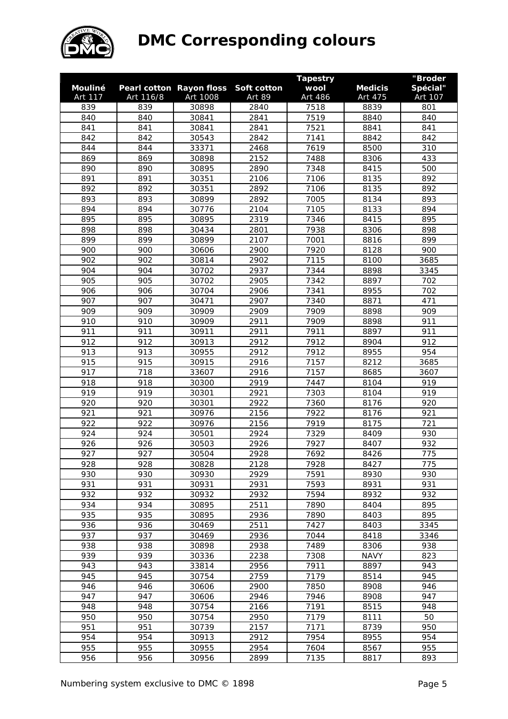

|            |            |                                 |              | <b>Tapestry</b> |                | "Broder    |
|------------|------------|---------------------------------|--------------|-----------------|----------------|------------|
| Mouliné    |            | <b>Pearl cotton Rayon floss</b> | Soft cotton  | wool            | <b>Medicis</b> | Spécial"   |
| Art 117    | Art 116/8  | Art 1008                        | Art 89       | Art 486         | Art 475        | Art 107    |
| 839        | 839        | 30898                           | 2840         | 7518            | 8839           | 801        |
| 840        | 840        | 30841                           | 2841         | 7519            | 8840           | 840        |
| 841        | 841        | 30841                           | 2841         | 7521            | 8841           | 841        |
| 842        | 842        | 30543                           | 2842         | 7141            | 8842           | 842        |
| 844        | 844        | 33371                           | 2468         | 7619            | 8500           | 310        |
| 869        | 869        | 30898                           | 2152         | 7488            | 8306           | 433        |
| 890        | 890        | 30895                           | 2890         | 7348            | 8415           | 500        |
| 891        | 891        | 30351                           | 2106         | 7106            | 8135           | 892        |
| 892        | 892        | 30351                           | 2892         | 7106            | 8135           | 892        |
| 893        | 893        | 30899                           | 2892         | 7005            | 8134           | 893        |
| 894        | 894        | 30776                           | 2104         | 7105            | 8133           | 894        |
| 895        | 895        | 30895                           | 2319         | 7346            | 8415           | 895        |
| 898        | 898        | 30434                           | 2801         | 7938            | 8306           | 898        |
| 899        | 899        | 30899                           | 2107         | 7001            | 8816           | 899        |
| 900        | 900        | 30606                           | 2900         | 7920            | 8128           | 900        |
| 902        | 902        | 30814                           | 2902         | 7115            | 8100           | 3685       |
| 904        | 904        | 30702                           | 2937         | 7344            | 8898           | 3345       |
| 905        | 905        | 30702                           | 2905         | 7342            | 8897           | 702        |
| 906        | 906        | 30704                           | 2906         | 7341            | 8955           | 702        |
| 907        | 907        | 30471                           | 2907         | 7340            | 8871           | 471        |
| 909        | 909        | 30909                           | 2909         | 7909            | 8898           | 909        |
| 910        | 910        | 30909                           | 2911         | 7909            | 8898           | 911        |
| 911        | 911        | 30911                           | 2911         | 7911            | 8897           | 911        |
| 912        | 912        | 30913                           | 2912         | 7912            | 8904           | 912        |
| 913        | 913        | 30955                           | 2912         | 7912            | 8955           | 954        |
| 915        | 915        | 30915                           | 2916         | 7157            | 8212           | 3685       |
| 917        | 718        | 33607                           | 2916         | 7157            | 8685           | 3607       |
| 918        | 918        | 30300                           | 2919         | 7447            | 8104           | 919        |
| 919        | 919        | 30301                           | 2921         | 7303            | 8104           | 919        |
| 920<br>921 | 920<br>921 | 30301<br>30976                  | 2922<br>2156 | 7360<br>7922    | 8176           | 920<br>921 |
| 922        | 922        | 30976                           | 2156         | 7919            | 8176<br>8175   | 721        |
| 924        | 924        | 30501                           | 2924         | 7329            |                | 930        |
| 926        | 926        | 30503                           | 2926         | 7927            | 8409<br>8407   | 932        |
| 927        | 927        | 30504                           | 2928         | 7692            | 8426           | 775        |
| 928        | 928        | 30828                           | 2128         | 7928            | 8427           | 775        |
| 930        | 930        | 30930                           | 2929         | 7591            | 8930           | 930        |
| 931        | 931        | 30931                           | 2931         | 7593            | 8931           | 931        |
| 932        | 932        | 30932                           | 2932         | 7594            | 8932           | 932        |
| 934        | 934        | 30895                           | 2511         | 7890            | 8404           | 895        |
| 935        | 935        | 30895                           | 2936         | 7890            | 8403           | 895        |
| 936        | 936        | 30469                           | 2511         | 7427            | 8403           | 3345       |
| 937        | 937        | 30469                           | 2936         | 7044            | 8418           | 3346       |
| 938        | 938        | 30898                           | 2938         | 7489            | 8306           | 938        |
| 939        | 939        | 30336                           | 2238         | 7308            | <b>NAVY</b>    | 823        |
| 943        | 943        | 33814                           | 2956         | 7911            | 8897           | 943        |
| 945        | 945        | 30754                           | 2759         | 7179            | 8514           | 945        |
| 946        | 946        | 30606                           | 2900         | 7850            | 8908           | 946        |
| 947        | 947        | 30606                           | 2946         | 7946            | 8908           | 947        |
| 948        | 948        | 30754                           | 2166         | 7191            | 8515           | 948        |
| 950        | 950        | 30754                           | 2950         | 7179            | 8111           | 50         |
| 951        | 951        | 30739                           | 2157         | 7171            | 8739           | 950        |
| 954        | 954        | 30913                           | 2912         | 7954            | 8955           | 954        |
| 955        | 955        | 30955                           | 2954         | 7604            | 8567           | 955        |
| 956        | 956        | 30956                           | 2899         | 7135            | 8817           | 893        |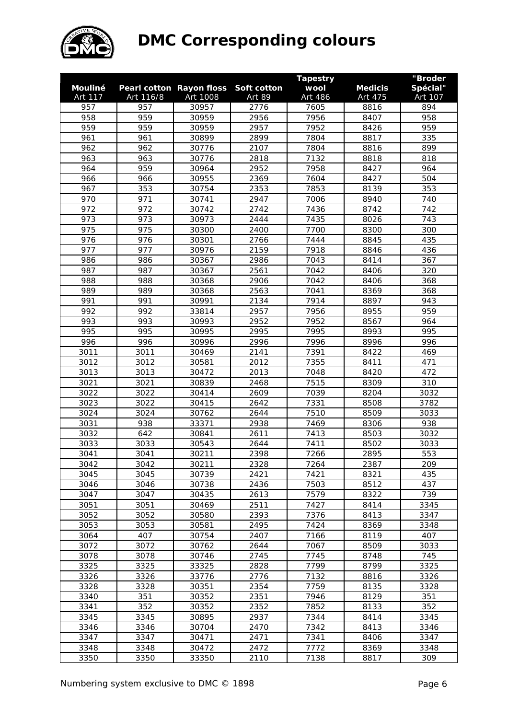

|              |              |                          |               | <b>Tapestry</b> |                | "Broder     |
|--------------|--------------|--------------------------|---------------|-----------------|----------------|-------------|
| Mouliné      |              | Pearl cotton Rayon floss | Soft cotton   | wool            | <b>Medicis</b> | Spécial"    |
| Art 117      | Art 116/8    | Art 1008                 | <b>Art 89</b> | Art 486         | Art 475        | Art 107     |
| 957          | 957          | 30957                    | 2776          | 7605            | 8816           | 894         |
| 958          | 959          | 30959                    | 2956          | 7956            | 8407           | 958         |
| 959          | 959          | 30959                    | 2957          | 7952            | 8426           | 959         |
| 961          | 961          | 30899                    | 2899          | 7804            | 8817           | 335         |
| 962          | 962          | 30776                    | 2107          | 7804            | 8816           | 899         |
| 963          | 963          | 30776                    | 2818          | 7132            | 8818           | 818         |
| 964          | 959          | 30964                    | 2952          | 7958            | 8427           | 964         |
| 966          | 966          | 30955                    | 2369          | 7604            | 8427           | 504         |
| 967          | 353          | 30754                    | 2353          | 7853            | 8139           | 353         |
| 970          | 971          | 30741                    | 2947          | 7006            | 8940           | 740         |
| 972          | 972          | 30742                    | 2742          | 7436            | 8742           | 742         |
| 973          | 973          | 30973                    | 2444          | 7435            | 8026           | 743         |
| 975          | 975          | 30300                    | 2400          | 7700            | 8300           | 300         |
| 976          | 976          | 30301                    | 2766          | 7444            | 8845           | 435         |
| 977          | 977          | 30976                    | 2159          | 7918            | 8846           | 436         |
| 986          | 986          | 30367                    | 2986          | 7043            | 8414           | 367         |
| 987          | 987          | 30367                    | 2561          | 7042            | 8406           | 320         |
| 988          | 988          | 30368                    | 2906          | 7042            | 8406           | 368         |
| 989          | 989          | 30368                    | 2563          | 7041            | 8369           | 368         |
| 991          | 991          | 30991                    | 2134          | 7914            | 8897           | 943         |
| 992          | 992          | 33814                    | 2957          | 7956            | 8955           | 959         |
| 993          | 993          | 30993                    | 2952          | 7952            | 8567           | 964         |
| 995          | 995          | 30995                    | 2995          | 7995            | 8993           | 995         |
| 996          | 996          | 30996                    | 2996          | 7996            | 8996           | 996         |
| 3011         | 3011         | 30469                    | 2141          | 7391            | 8422           | 469         |
| 3012         | 3012         | 30581                    | 2012          | 7355            | 8411           | 471         |
| 3013         | 3013         | 30472                    | 2013          | 7048            | 8420           | 472         |
| 3021         | 3021         | 30839                    | 2468          | 7515            | 8309           | 310         |
| 3022         | 3022         | 30414                    | 2609          | 7039            | 8204           | 3032        |
| 3023         | 3022         | 30415                    | 2642          | 7331            | 8508           | 3782        |
| 3024         | 3024         | 30762                    | 2644          | 7510            | 8509           | 3033        |
| 3031         | 938          | 33371                    | 2938          | 7469            | 8306           | 938         |
| 3032         | 642          | 30841                    | 2611          | 7413            | 8503           | 3032        |
| 3033         | 3033         | 30543                    | 2644          | 7411            | 8502           | 3033        |
| 3041         | 3041         | 30211                    | 2398          | 7266            | 2895           | 553         |
| 3042         | 3042         | 30211                    | 2328          | 7264            | 2387           | 209         |
| 3045         | 3045         | 30739                    | 2421          | 7421            | 8321           | 435         |
| 3046         | 3046         | 30738                    | 2436          | 7503            | 8512           | 437         |
| 3047         | 3047         | 30435                    | 2613          | 7579            | 8322           | 739         |
| 3051         | 3051         | 30469                    | 2511          | 7427            | 8414           | 3345        |
| 3052         | 3052         | 30580                    | 2393          | 7376            | 8413           | 3347        |
| 3053         | 3053         |                          |               | 7424            |                |             |
|              | 407          | 30581                    | 2495          |                 | 8369           | 3348        |
| 3064<br>3072 | 3072         | 30754<br>30762           | 2407<br>2644  | 7166<br>7067    | 8119<br>8509   | 407<br>3033 |
| 3078         | 3078         | 30746                    | 2745          | 7745            | 8748           | 745         |
|              |              |                          |               |                 |                |             |
| 3325<br>3326 | 3325<br>3326 | 33325                    | 2828          | 7799            | 8799           | 3325        |
|              |              | 33776                    | 2776          | 7132            | 8816           | 3326        |
| 3328         | 3328         | 30351                    | 2354          | 7759            | 8135           | 3328        |
| 3340         | 351          | 30352                    | 2351          | 7946            | 8129           | 351         |
| 3341         | 352          | 30352                    | 2352          | 7852            | 8133           | 352         |
| 3345         | 3345         | 30895                    | 2937          | 7344            | 8414           | 3345        |
| 3346         | 3346         | 30704                    | 2470          | 7342            | 8413           | 3346        |
| 3347         | 3347         | 30471                    | 2471          | 7341            | 8406           | 3347        |
| 3348         | 3348         | 30472                    | 2472          | 7772            | 8369           | 3348        |
| 3350         | 3350         | 33350                    | 2110          | 7138            | 8817           | 309         |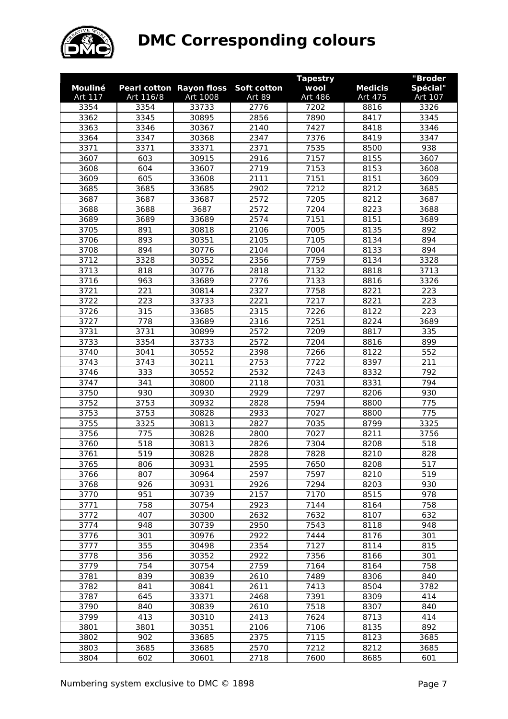

|         |           |                                 |             | <b>Tapestry</b> |                | "Broder  |
|---------|-----------|---------------------------------|-------------|-----------------|----------------|----------|
| Mouliné |           | <b>Pearl cotton Rayon floss</b> | Soft cotton | wool            | <b>Medicis</b> | Spécial" |
| Art 117 | Art 116/8 | Art 1008                        | Art 89      | Art 486         | Art 475        | Art 107  |
| 3354    | 3354      | 33733                           | 2776        | 7202            | 8816           | 3326     |
| 3362    | 3345      | 30895                           | 2856        | 7890            | 8417           | 3345     |
| 3363    | 3346      | 30367                           | 2140        | 7427            | 8418           | 3346     |
| 3364    | 3347      | 30368                           | 2347        | 7376            | 8419           | 3347     |
| 3371    | 3371      | 33371                           | 2371        | 7535            | 8500           | 938      |
| 3607    | 603       | 30915                           | 2916        | 7157            | 8155           | 3607     |
| 3608    | 604       | 33607                           | 2719        | 7153            | 8153           | 3608     |
| 3609    | 605       | 33608                           | 2111        | 7151            | 8151           | 3609     |
| 3685    | 3685      | 33685                           | 2902        | 7212            | 8212           | 3685     |
| 3687    | 3687      | 33687                           | 2572        | 7205            | 8212           | 3687     |
| 3688    | 3688      | 3687                            | 2572        | 7204            | 8223           | 3688     |
| 3689    | 3689      | 33689                           | 2574        | 7151            | 8151           | 3689     |
| 3705    | 891       | 30818                           | 2106        | 7005            | 8135           | 892      |
| 3706    | 893       | 30351                           | 2105        | 7105            | 8134           | 894      |
| 3708    | 894       | 30776                           | 2104        | 7004            | 8133           | 894      |
| 3712    | 3328      | 30352                           | 2356        | 7759            | 8134           | 3328     |
| 3713    | 818       | 30776                           | 2818        | 7132            | 8818           | 3713     |
| 3716    | 963       | 33689                           | 2776        | 7133            | 8816           | 3326     |
| 3721    | 221       | 30814                           | 2327        | 7758            | 8221           | 223      |
| 3722    | 223       | 33733                           | 2221        | 7217            | 8221           | 223      |
| 3726    | 315       | 33685                           | 2315        | 7226            | 8122           | 223      |
| 3727    | 778       | 33689                           | 2316        | 7251            | 8224           | 3689     |
| 3731    | 3731      | 30899                           | 2572        | 7209            | 8817           | 335      |
| 3733    | 3354      | 33733                           | 2572        | 7204            | 8816           | 899      |
| 3740    | 3041      | 30552                           | 2398        | 7266            | 8122           | 552      |
| 3743    | 3743      | 30211                           | 2753        | 7722            | 8397           | 211      |
| 3746    | 333       | 30552                           | 2532        | 7243            | 8332           | 792      |
|         |           |                                 |             |                 |                | 794      |
| 3747    | 341       | 30800                           | 2118        | 7031            | 8331           |          |
| 3750    | 930       | 30930                           | 2929        | 7297            | 8206           | 930      |
| 3752    | 3753      | 30932                           | 2828        | 7594            | 8800           | 775      |
| 3753    | 3753      | 30828                           | 2933        | 7027            | 8800           | 775      |
| 3755    | 3325      | 30813                           | 2827        | 7035            | 8799           | 3325     |
| 3756    | 775       | 30828                           | 2800        | 7027            | 8211           | 3756     |
| 3760    | 518       | 30813                           | 2826        | 7304            | 8208           | 518      |
| 3761    | 519       | 30828                           | 2828        | 7828            | 8210           | 828      |
| 3765    | 806       | 30931                           | 2595        | 7650            | 8208           | 517      |
| 3766    | 807       | 30964                           | 2597        | 7597            | 8210           | 519      |
| 3768    | 926       | 30931                           | 2926        | 7294            | 8203           | 930      |
| 3770    | 951       | 30739                           | 2157        | 7170            | 8515           | 978      |
| 3771    | 758       | 30754                           | 2923        | 7144            | 8164           | 758      |
| 3772    | 407       | 30300                           | 2632        | 7632            | 8107           | 632      |
| 3774    | 948       | 30739                           | 2950        | 7543            | 8118           | 948      |
| 3776    | 301       | 30976                           | 2922        | 7444            | 8176           | 301      |
| 3777    | 355       | 30498                           | 2354        | 7127            | 8114           | 815      |
| 3778    | 356       | 30352                           | 2922        | 7356            | 8166           | 301      |
| 3779    | 754       | 30754                           | 2759        | 7164            | 8164           | 758      |
| 3781    | 839       | 30839                           | 2610        | 7489            | 8306           | 840      |
| 3782    | 841       | 30841                           | 2611        | 7413            | 8504           | 3782     |
| 3787    | 645       | 33371                           | 2468        | 7391            | 8309           | 414      |
| 3790    | 840       | 30839                           | 2610        | 7518            | 8307           | 840      |
| 3799    | 413       | 30310                           | 2413        | 7624            | 8713           | 414      |
| 3801    | 3801      | 30351                           | 2106        | 7106            | 8135           | 892      |
| 3802    | 902       | 33685                           | 2375        | 7115            | 8123           | 3685     |
| 3803    | 3685      | 33685                           | 2570        | 7212            | 8212           | 3685     |
| 3804    | 602       | 30601                           | 2718        | 7600            | 8685           | 601      |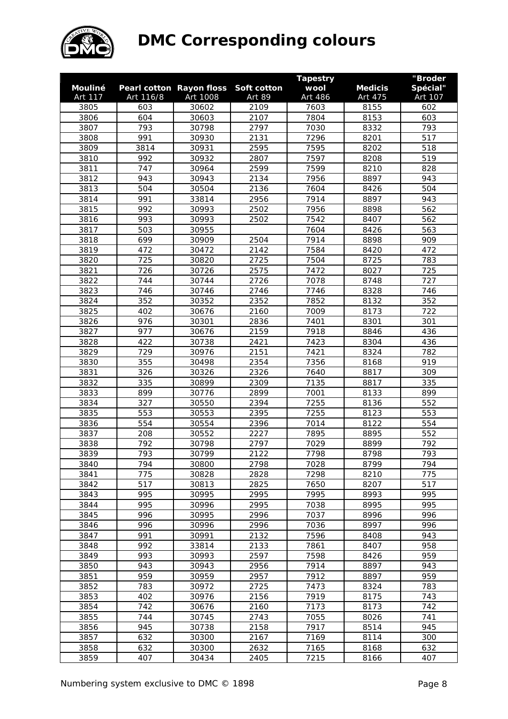

|         |           |                          |             | <b>Tapestry</b> |                | "Broder  |
|---------|-----------|--------------------------|-------------|-----------------|----------------|----------|
| Mouliné |           | Pearl cotton Rayon floss | Soft cotton | wool            | <b>Medicis</b> | Spécial" |
| Art 117 | Art 116/8 | Art 1008                 | Art 89      | Art 486         | Art 475        | Art 107  |
| 3805    | 603       | 30602                    | 2109        | 7603            | 8155           | 602      |
| 3806    | 604       | 30603                    | 2107        | 7804            | 8153           | 603      |
| 3807    | 793       | 30798                    | 2797        | 7030            | 8332           | 793      |
| 3808    | 991       | 30930                    | 2131        | 7296            | 8201           | 517      |
| 3809    | 3814      | 30931                    | 2595        | 7595            | 8202           | 518      |
| 3810    | 992       | 30932                    | 2807        | 7597            | 8208           | 519      |
| 3811    | 747       | 30964                    | 2599        | 7599            | 8210           | 828      |
| 3812    | 943       | 30943                    | 2134        | 7956            | 8897           | 943      |
| 3813    | 504       | 30504                    | 2136        | 7604            | 8426           | 504      |
| 3814    | 991       | 33814                    | 2956        | 7914            | 8897           | 943      |
| 3815    | 992       | 30993                    | 2502        | 7956            | 8898           | 562      |
| 3816    | 993       | 30993                    | 2502        | 7542            | 8407           | 562      |
| 3817    | 503       | 30955                    |             | 7604            | 8426           | 563      |
| 3818    | 699       | 30909                    | 2504        | 7914            | 8898           | 909      |
| 3819    | 472       | 30472                    | 2142        | 7584            | 8420           | 472      |
| 3820    | 725       | 30820                    | 2725        | 7504            | 8725           | 783      |
| 3821    | 726       | 30726                    | 2575        | 7472            | 8027           | 725      |
| 3822    | 744       | 30744                    | 2726        | 7078            | 8748           | 727      |
| 3823    | 746       | 30746                    | 2746        | 7746            | 8328           | 746      |
| 3824    | 352       | 30352                    | 2352        | 7852            | 8132           | 352      |
| 3825    | 402       | 30676                    | 2160        | 7009            | 8173           | 722      |
| 3826    | 976       | 30301                    | 2836        | 7401            | 8301           | 301      |
| 3827    | 977       | 30676                    | 2159        | 7918            | 8846           | 436      |
| 3828    | 422       | 30738                    | 2421        | 7423            | 8304           | 436      |
| 3829    | 729       | 30976                    | 2151        | 7421            | 8324           | 782      |
| 3830    | 355       | 30498                    | 2354        | 7356            | 8168           | 919      |
| 3831    | 326       | 30326                    | 2326        | 7640            | 8817           | 309      |
| 3832    | 335       | 30899                    | 2309        | 7135            | 8817           | 335      |
| 3833    | 899       | 30776                    | 2899        | 7001            | 8133           | 899      |
| 3834    | 327       | 30550                    | 2394        | 7255            | 8136           | 552      |
| 3835    | 553       | 30553                    | 2395        | 7255            | 8123           | 553      |
| 3836    | 554       | 30554                    | 2396        | 7014            | 8122           | 554      |
| 3837    | 208       | 30552                    | 2227        | 7895            | 8895           | 552      |
| 3838    | 792       | 30798                    | 2797        | 7029            | 8899           | 792      |
| 3839    | 793       | 30799                    | 2122        | 7798            | 8798           | 793      |
| 3840    | 794       | 30800                    | 2798        | 7028            | 8799           | 794      |
| 3841    | 775       | 30828                    | 2828        | 7298            | 8210           | 775      |
| 3842    | 517       | 30813                    | 2825        | 7650            | 8207           | 517      |
| 3843    | 995       | 30995                    | 2995        | 7995            | 8993           | 995      |
| 3844    | 995       | 30996                    | 2995        | 7038            | 8995           | 995      |
| 3845    | 996       | 30995                    | 2996        | 7037            | 8996           | 996      |
| 3846    | 996       | 30996                    | 2996        | 7036            | 8997           | 996      |
| 3847    | 991       | 30991                    | 2132        | 7596            | 8408           | 943      |
| 3848    | 992       | 33814                    | 2133        | 7861            | 8407           | 958      |
| 3849    | 993       | 30993                    | 2597        | 7598            | 8426           | 959      |
| 3850    | 943       | 30943                    | 2956        | 7914            | 8897           | 943      |
| 3851    | 959       | 30959                    | 2957        | 7912            | 8897           | 959      |
| 3852    | 783       | 30972                    | 2725        | 7473            | 8324           | 783      |
| 3853    | 402       | 30976                    | 2156        | 7919            | 8175           | 743      |
| 3854    | 742       | 30676                    | 2160        | 7173            | 8173           | 742      |
| 3855    | 744       | 30745                    | 2743        | 7055            | 8026           | 741      |
| 3856    | 945       | 30738                    | 2158        | 7917            | 8514           | 945      |
| 3857    | 632       | 30300                    | 2167        | 7169            | 8114           | 300      |
| 3858    | 632       | 30300                    | 2632        | 7165            | 8168           | 632      |
| 3859    | 407       | 30434                    | 2405        | 7215            | 8166           | 407      |